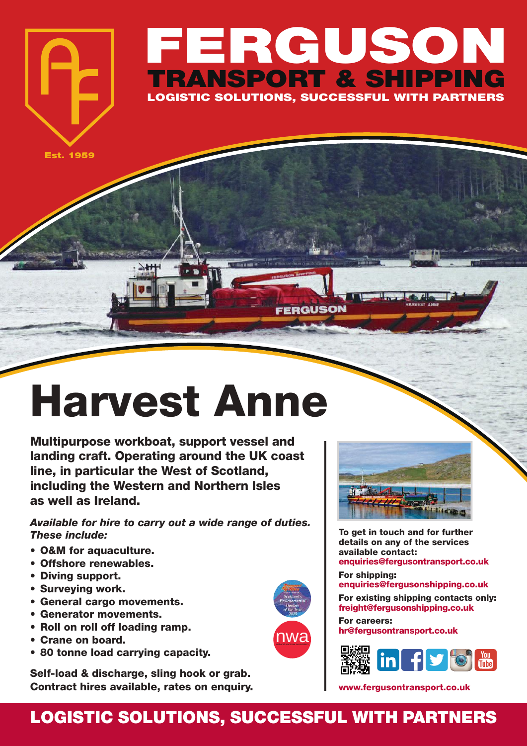## **FERGUSON TRANSPORT & SHIPPING LOGISTIC SOLUTIONS, SUCCESSFUL WITH PARTNERS**

FFRGUSON

**Est. 1959**

## **Harvest Anne**

**Multipurpose workboat, support vessel and landing craft. Operating around the UK coast line, in particular the West of Scotland, including the Western and Northern Isles as well as Ireland.**

*Available for hire to carry out a wide range of duties. These include:*

- **• O&M for aquaculture.**
- **• Offshore renewables.**
- **• Diving support.**
- **• Surveying work.**
- **• General cargo movements.**
- **• Generator movements.**
- **• Roll on roll off loading ramp.**
- **• Crane on board.**
- **• 80 tonne load carrying capacity.**

**Self-load & discharge, sling hook or grab. Contract hires available, rates on enquiry.**





**To get in touch and for further details on any of the services available contact: enquiries@fergusontransport.co.uk**

**For shipping: enquiries@fergusonshipping.co.uk**

**For existing shipping contacts only: freight@fergusonshipping.co.uk**

**For careers: hr@fergusontransport.co.uk**



**www.fergusontransport.co.uk**

## **LOGISTIC SOLUTIONS, SUCCESSFUL WITH PARTNERS**